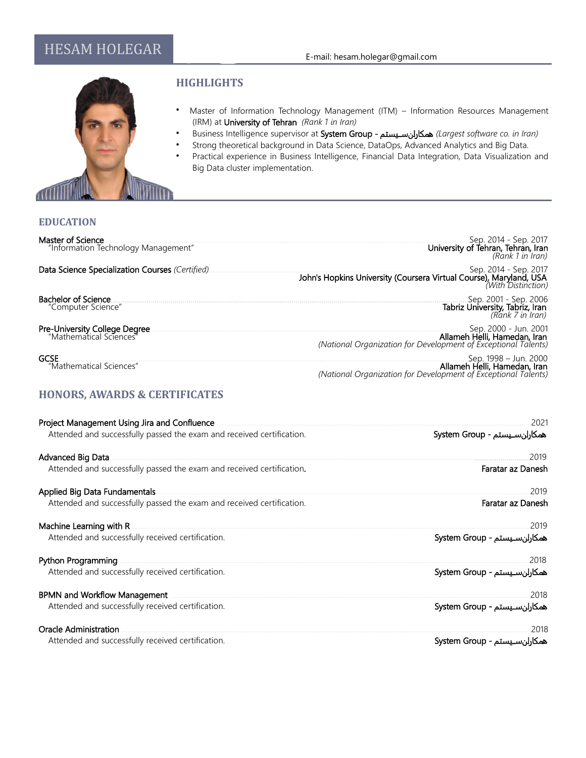

### **HIGHLIGHTS**

- Master of Information Technology Management (ITM) Information Resources Management (IRM) at University of Tehran *(Rank 1 in Iran)*
- Business Intelligence supervisor at System Group یستم\$\$\$س ن\$همکارا*) Largest software co. in Iran)*
- Strong theoretical background in Data Science, DataOps, Advanced Analytics and Big Data.
	- Practical experience in Business Intelligence, Financial Data Integration, Data Visualization and Big Data cluster implementation.

#### **EDUCATION**

| Master of Science<br>"Information Technology Management"        | Sep. 2014 - Sep. 2017<br><b>University of Tehran, Tehran, Iran</b><br><i>(Rank 1 in Iran)</i>                            |
|-----------------------------------------------------------------|--------------------------------------------------------------------------------------------------------------------------|
| Data Science Specialization Courses (Certified)                 | Sep. 2014 - Sep. 2017<br>John's Hopkins University (Coursera Virtual Course), Maryland, USA<br>With Distinction)         |
| <b>Bachelor of Science</b><br>"Computer Science"                |                                                                                                                          |
| <b>Pre-University College Degree</b><br>"Mathematical Sciences" | Sep. 2000 - Jun. 2001.<br>Allameh Helli, Hamedan, Iran<br>(National Organization for Development of Exceptional Talents) |
| <b>GCSE</b><br>"Mathematical Sciences"                          | Sep. 1998 - Jun. 2000<br>Allameh Helli, Hamedan, Iran<br>(National Organization for Development of Exceptional Talents)  |

### **HONORS, AWARDS & CERTIFICATES**

| Project Management Using Jira and Confluence                          | 2021                          |
|-----------------------------------------------------------------------|-------------------------------|
| Attended and successfully passed the exam and received certification. | همكارلن سيستم - System Group  |
| Advanced Big Data                                                     | 2019                          |
| Attended and successfully passed the exam and received certification. | Faratar az Danesh             |
| Applied Big Data Fundamentals                                         | 2019                          |
| Attended and successfully passed the exam and received certification. | Faratar az Danesh             |
| Machine Learning with R                                               | 2019                          |
| Attended and successfully received certification.                     | همکارلن سـيستم - System Group |
| Python Programming                                                    | 2018                          |
| Attended and successfully received certification.                     | همكارلن سيستم - System Group  |
| <b>BPMN and Workflow Management</b>                                   | 2018                          |
| Attended and successfully received certification.                     | همكارلن سيستم - System Group  |
| Oracle Administration                                                 | 2018                          |
| Attended and successfully received certification.                     | همکارلن سـيستم - System Group |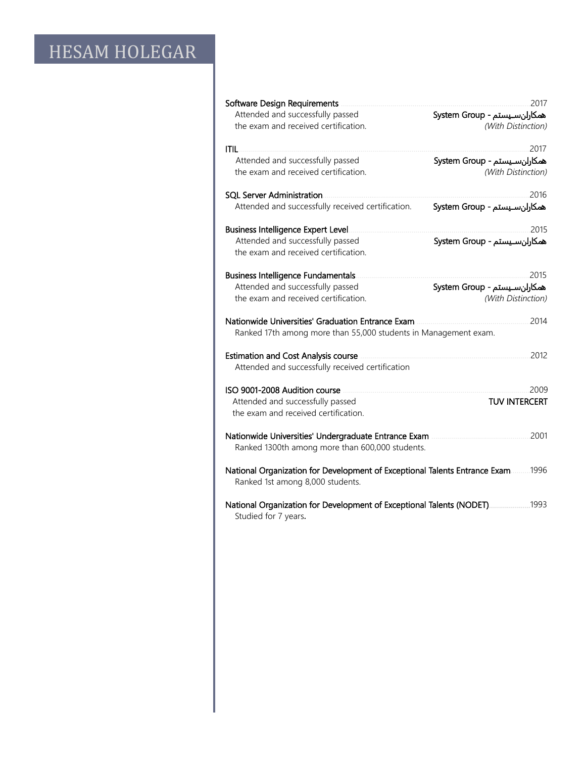| Software Design Requirements<br>Attended and successfully passed<br>the exam and received certification.                     | 2017<br>همكارلن سيستم - System Group<br>(With Distinction) |  |  |
|------------------------------------------------------------------------------------------------------------------------------|------------------------------------------------------------|--|--|
| ITIL.                                                                                                                        | 2017                                                       |  |  |
| Attended and successfully passed                                                                                             | همكارلن سـيستم - System Group                              |  |  |
| the exam and received certification.                                                                                         | (With Distinction)                                         |  |  |
| <b>SOL Server Administration</b>                                                                                             | 2016                                                       |  |  |
| Attended and successfully received certification.                                                                            | همكارلن سيستم - System Group                               |  |  |
| Business Intelligence Expert Level.                                                                                          | 2015                                                       |  |  |
| Attended and successfully passed                                                                                             | همكارلن سيستم - System Group                               |  |  |
| the exam and received certification.                                                                                         |                                                            |  |  |
| <b>Business Intelligence Fundamentals</b>                                                                                    | 2015                                                       |  |  |
| Attended and successfully passed                                                                                             | همكارلن سـيستم - System Group                              |  |  |
| the exam and received certification.                                                                                         | (With Distinction)                                         |  |  |
| 2014<br>Nationwide Universities' Graduation Entrance Exam<br>Ranked 17th among more than 55,000 students in Management exam. |                                                            |  |  |
| <b>Estimation and Cost Analysis course</b>                                                                                   | 2012                                                       |  |  |
| Attended and successfully received certification                                                                             |                                                            |  |  |
| ISO 9001-2008 Audition course                                                                                                | 2009                                                       |  |  |
| Attended and successfully passed                                                                                             | <b>TUV INTERCERT</b>                                       |  |  |
| the exam and received certification.                                                                                         |                                                            |  |  |
| Nationwide Universities' Undergraduate Entrance Exam<br>2001<br>Ranked 1300th among more than 600,000 students.              |                                                            |  |  |
| 1996<br>National Organization for Development of Exceptional Talents Entrance Exam<br>Ranked 1st among 8,000 students.       |                                                            |  |  |
| National Organization for Development of Exceptional Talents (NODET)<br>Studied for 7 years.                                 | .1993                                                      |  |  |
|                                                                                                                              |                                                            |  |  |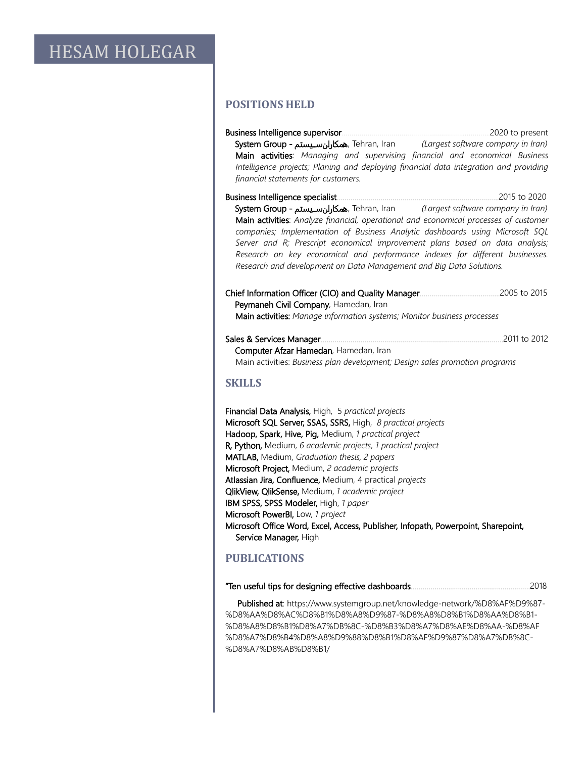#### **POSITIONS HELD**

| System Group - همكارلن سيستم , Tehran, Iran (Largest software company in Iran)<br>Main activities: Managing and supervising financial and economical Business<br>Intelligence projects; Planing and deploying financial data integration and providing<br>financial statements for customers.                                                                                                                                                                                                                                             | 2020 to present |
|-------------------------------------------------------------------------------------------------------------------------------------------------------------------------------------------------------------------------------------------------------------------------------------------------------------------------------------------------------------------------------------------------------------------------------------------------------------------------------------------------------------------------------------------|-----------------|
| System Group - همكارلن سـيستم Tehran, Iran (Largest software company in Iran)<br>Main activities: Analyze financial, operational and economical processes of customer<br>companies; Implementation of Business Analytic dashboards using Microsoft SQL<br>Server and R; Prescript economical improvement plans based on data analysis;<br>Research on key economical and performance indexes for different businesses.<br>Research and development on Data Management and Big Data Solutions.                                             | 2015 to 2020    |
| Peymaneh Civil Company, Hamedan, Iran<br>Main activities: Manage information systems; Monitor business processes                                                                                                                                                                                                                                                                                                                                                                                                                          |                 |
| Sales & Services Manager<br>Computer Afzar Hamedan, Hamedan, Iran<br>Main activities: Business plan development; Design sales promotion programs                                                                                                                                                                                                                                                                                                                                                                                          | 2011 to 2012    |
| <b>SKILLS</b>                                                                                                                                                                                                                                                                                                                                                                                                                                                                                                                             |                 |
| Financial Data Analysis, High, 5 practical projects<br>Microsoft SQL Server, SSAS, SSRS, High, 8 practical projects<br>Hadoop, Spark, Hive, Pig, Medium, 1 practical project<br>R, Python, Medium, 6 academic projects, 1 practical project<br>MATLAB, Medium, Graduation thesis, 2 papers<br>Microsoft Project, Medium, 2 academic projects<br>Atlassian Jira, Confluence, Medium, 4 practical projects<br>QlikView, QlikSense, Medium, 1 academic project<br>IBM SPSS, SPSS Modeler, High, 1 paper<br>Microsoft PowerBI, Low, 1 project |                 |

Microsoft Office Word, Excel, Access, Publisher, Infopath, Powerpoint, Sharepoint, Service Manager, High

#### **PUBLICATIONS**

|  |  | "Ten useful tips for designing effective dashboards | .2018 |
|--|--|-----------------------------------------------------|-------|
|--|--|-----------------------------------------------------|-------|

 Published at: https://www.systemgroup.net/knowledge-network/%D8%AF%D9%87- %D8%AA%D8%AC%D8%B1%D8%A8%D9%87-%D8%A8%D8%B1%D8%AA%D8%B1- %D8%A8%D8%B1%D8%A7%DB%8C-%D8%B3%D8%A7%D8%AE%D8%AA-%D8%AF %D8%A7%D8%B4%D8%A8%D9%88%D8%B1%D8%AF%D9%87%D8%A7%DB%8C- %D8%A7%D8%AB%D8%B1/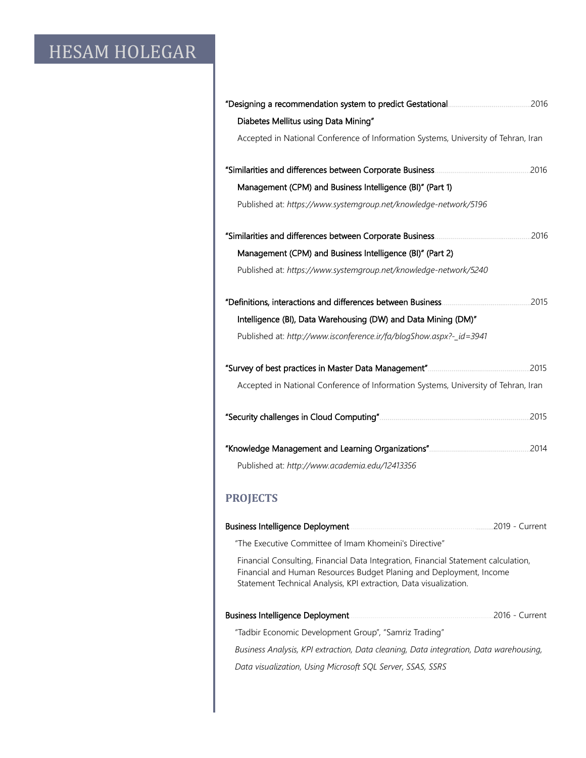| Diabetes Mellitus using Data Mining"                                                                                                                                                                                           |                |
|--------------------------------------------------------------------------------------------------------------------------------------------------------------------------------------------------------------------------------|----------------|
| Accepted in National Conference of Information Systems, University of Tehran, Iran                                                                                                                                             |                |
|                                                                                                                                                                                                                                |                |
| Management (CPM) and Business Intelligence (BI)" (Part 1)                                                                                                                                                                      |                |
| Published at: https://www.systemgroup.net/knowledge-network/5196                                                                                                                                                               |                |
|                                                                                                                                                                                                                                |                |
| Management (CPM) and Business Intelligence (BI)" (Part 2)                                                                                                                                                                      |                |
| Published at: https://www.systemgroup.net/knowledge-network/5240                                                                                                                                                               |                |
|                                                                                                                                                                                                                                |                |
| Intelligence (BI), Data Warehousing (DW) and Data Mining (DM)"                                                                                                                                                                 |                |
| Published at: http://www.isconference.ir/fa/blogShow.aspx?-_id=3941                                                                                                                                                            |                |
|                                                                                                                                                                                                                                |                |
| Accepted in National Conference of Information Systems, University of Tehran, Iran                                                                                                                                             |                |
|                                                                                                                                                                                                                                |                |
|                                                                                                                                                                                                                                |                |
| Published at: http://www.academia.edu/12413356                                                                                                                                                                                 |                |
| <b>PROJECTS</b>                                                                                                                                                                                                                |                |
|                                                                                                                                                                                                                                | 2019 - Current |
| "The Executive Committee of Imam Khomeini's Directive"                                                                                                                                                                         |                |
| Financial Consulting, Financial Data Integration, Financial Statement calculation,<br>Financial and Human Resources Budget Planing and Deployment, Income<br>Statement Technical Analysis, KPI extraction, Data visualization. |                |
|                                                                                                                                                                                                                                |                |
| "Tadbir Economic Development Group", "Samriz Trading"                                                                                                                                                                          |                |
| Business Analysis, KPI extraction, Data cleaning, Data integration, Data warehousing,                                                                                                                                          |                |

 *Data visualization, Using Microsoft SQL Server, SSAS, SSRS*